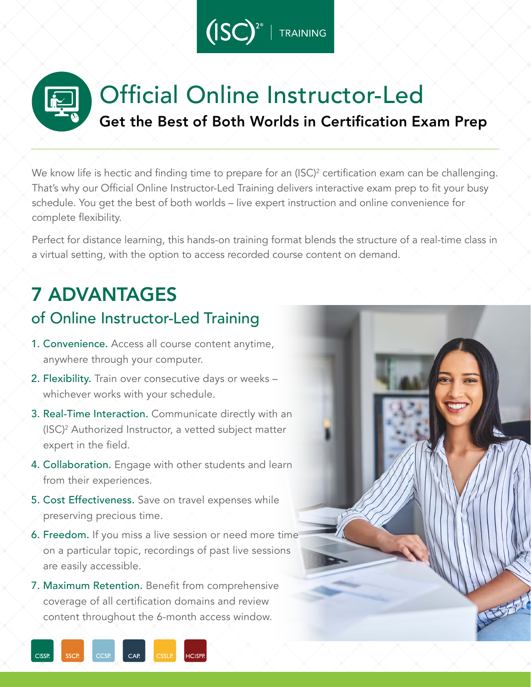

# Official Online Instructor-Led Get the Best of Both Worlds in Certification Exam Prep

We know life is hectic and finding time to prepare for an (ISC) $^2$  certification exam can be challenging.  $\,$ That's why our Official Online Instructor-Led Training delivers interactive exam prep to fit your busy schedule. You get the best of both worlds – live expert instruction and online convenience for complete flexibility.

Perfect for distance learning, this hands-on training format blends the structure of a real-time class in a virtual setting, with the option to access recorded course content on demand.

# 7 ADVANTAGES

## of Online Instructor-Led Training

- 1. Convenience. Access all course content anytime, anywhere through your computer.
- 2. Flexibility. Train over consecutive days or weeks whichever works with your schedule.
- 3. Real-Time Interaction. Communicate directly with an  $\setminus$  (ISC)<sup>2</sup> Authorized Instructor, a vetted subject matter expert in the field.
- 4. Collaboration. Engage with other students and learn from their experiences.
- 5. Cost Effectiveness. Save on travel expenses while preserving precious time.
- 6. Freedom. If you miss a live session or need more time on a particular topic, recordings of past live sessions are easily accessible.
- 7. Maximum Retention. Benefit from comprehensive coverage of all certification domains and review content throughout the 6-month access window.